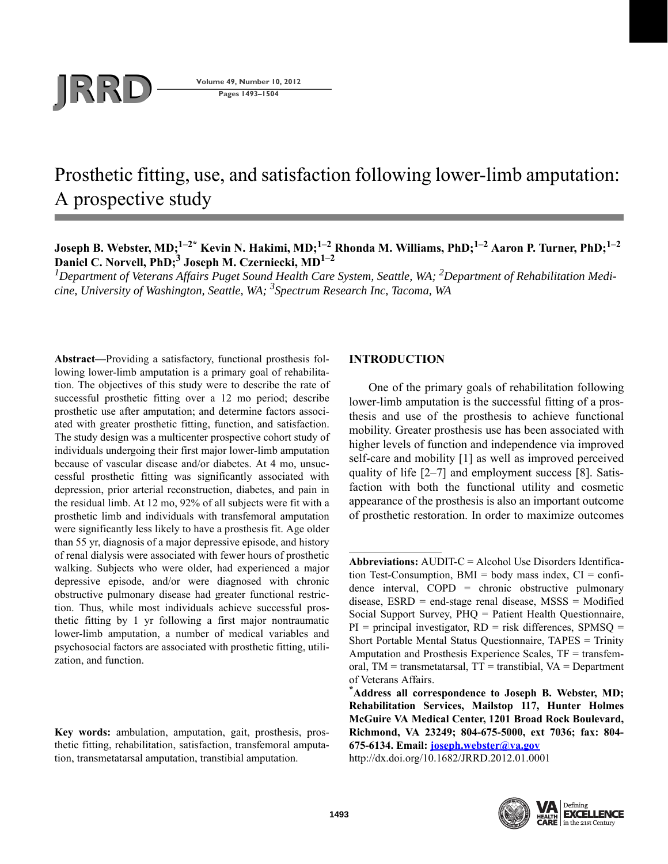# **JRD Volume 49, Number 10, 2012**<br>Pages 1493-1504

**Pages 1493–1504**

# Prosthetic fitting, use, and satisfaction following lower-limb amputation: A prospective study

**Joseph B. Webster, MD;1–2\* Kevin N. Hakimi, MD;1–2 Rhonda M. Williams, PhD;1–2 Aaron P. Turner, PhD;1–2 Daniel C. Norvell, PhD;<sup>3</sup> Joseph M. Czerniecki, MD1–2**

*1 Department of Veterans Affairs Puget Sound Health Care System, Seattle, WA; 2 Department of Rehabilitation Medicine, University of Washington, Seattle, WA; 3 Spectrum Research Inc, Tacoma, WA*

**Abstract—**Providing a satisfactory, functional prosthesis following lower-limb amputation is a primary goal of rehabilitation. The objectives of this study were to describe the rate of successful prosthetic fitting over a 12 mo period; describe prosthetic use after amputation; and determine factors associated with greater prosthetic fitting, function, and satisfaction. The study design was a multicenter prospective cohort study of individuals undergoing their first major lower-limb amputation because of vascular disease and/or diabetes. At 4 mo, unsuccessful prosthetic fitting was significantly associated with depression, prior arterial reconstruction, diabetes, and pain in the residual limb. At 12 mo, 92% of all subjects were fit with a prosthetic limb and individuals with transfemoral amputation were significantly less likely to have a prosthesis fit. Age older than 55 yr, diagnosis of a major depressive episode, and history of renal dialysis were associated with fewer hours of prosthetic walking. Subjects who were older, had experienced a major depressive episode, and/or were diagnosed with chronic obstructive pulmonary disease had greater functional restriction. Thus, while most individuals achieve successful prosthetic fitting by 1 yr following a first major nontraumatic lower-limb amputation, a number of medical variables and psychosocial factors are associated with prosthetic fitting, utilization, and function.

**Key words:** ambulation, amputation, gait, prosthesis, prosthetic fitting, rehabilitation, satisfaction, transfemoral amputation, transmetatarsal amputation, transtibial amputation.

# **INTRODUCTION**

One of the primary goals of rehabilitation following lower-limb amputation is the successful fitting of a prosthesis and use of the prosthesis to achieve functional mobility. Greater prosthesis use has been associated with higher levels of function and independence via improved self-care and mobility [1] as well as improved perceived quality of life [2–7] and employment success [8]. Satisfaction with both the functional utility and cosmetic appearance of the prosthesis is also an important outcome of prosthetic restoration. In order to maximize outcomes

http://dx.doi.org/10.1682/JRRD.2012.01.0001



**Abbreviations:** AUDIT-C = Alcohol Use Disorders Identification Test-Consumption,  $BMI = body$  mass index,  $CI = confi$ dence interval, COPD = chronic obstructive pulmonary disease, ESRD = end-stage renal disease, MSSS = Modified Social Support Survey, PHQ = Patient Health Questionnaire,  $PI$  = principal investigator,  $RD$  = risk differences,  $SPMSO$  = Short Portable Mental Status Questionnaire, TAPES = Trinity Amputation and Prosthesis Experience Scales, TF = transfemoral,  $TM = transmetatarsal$ ,  $TT = translational$ ,  $VA = Department$ of Veterans Affairs.

**<sup>\*</sup>Address all correspondence to Joseph B. Webster, MD; Rehabilitation Services, Mailstop 117, Hunter Holmes McGuire VA Medical Center, 1201 Broad Rock Boulevard, Richmond, VA 23249; 804-675-5000, ext 7036; fax: 804- 675-6134. Email: [joseph.webster@va.gov](mailto:joseph.webster@va.gov)**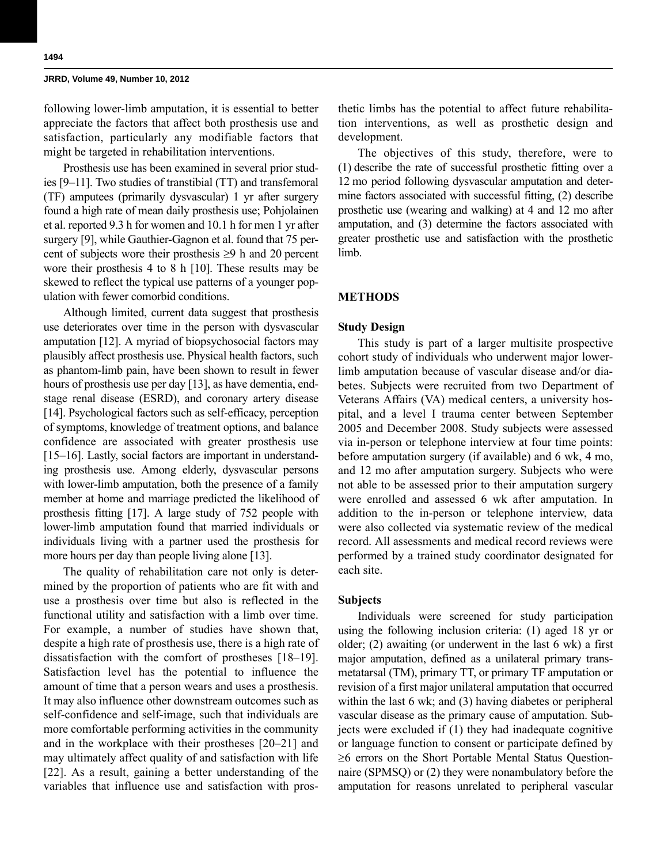following lower-limb amputation, it is essential to better appreciate the factors that affect both prosthesis use and satisfaction, particularly any modifiable factors that might be targeted in rehabilitation interventions.

Prosthesis use has been examined in several prior studies [9–11]. Two studies of transtibial (TT) and transfemoral (TF) amputees (primarily dysvascular) 1 yr after surgery found a high rate of mean daily prosthesis use; Pohjolainen et al. reported 9.3 h for women and 10.1 h for men 1 yr after surgery [9], while Gauthier-Gagnon et al. found that 75 percent of subjects wore their prosthesis  $\geq 9$  h and 20 percent wore their prosthesis 4 to 8 h [10]. These results may be skewed to reflect the typical use patterns of a younger population with fewer comorbid conditions.

Although limited, current data suggest that prosthesis use deteriorates over time in the person with dysvascular amputation [12]. A myriad of biopsychosocial factors may plausibly affect prosthesis use. Physical health factors, such as phantom-limb pain, have been shown to result in fewer hours of prosthesis use per day [13], as have dementia, endstage renal disease (ESRD), and coronary artery disease [14]. Psychological factors such as self-efficacy, perception of symptoms, knowledge of treatment options, and balance confidence are associated with greater prosthesis use [15–16]. Lastly, social factors are important in understanding prosthesis use. Among elderly, dysvascular persons with lower-limb amputation, both the presence of a family member at home and marriage predicted the likelihood of prosthesis fitting [17]. A large study of 752 people with lower-limb amputation found that married individuals or individuals living with a partner used the prosthesis for more hours per day than people living alone [13].

The quality of rehabilitation care not only is determined by the proportion of patients who are fit with and use a prosthesis over time but also is reflected in the functional utility and satisfaction with a limb over time. For example, a number of studies have shown that, despite a high rate of prosthesis use, there is a high rate of dissatisfaction with the comfort of prostheses [18–19]. Satisfaction level has the potential to influence the amount of time that a person wears and uses a prosthesis. It may also influence other downstream outcomes such as self-confidence and self-image, such that individuals are more comfortable performing activities in the community and in the workplace with their prostheses [20–21] and may ultimately affect quality of and satisfaction with life [22]. As a result, gaining a better understanding of the variables that influence use and satisfaction with prosthetic limbs has the potential to affect future rehabilitation interventions, as well as prosthetic design and development.

The objectives of this study, therefore, were to (1) describe the rate of successful prosthetic fitting over a 12 mo period following dysvascular amputation and determine factors associated with successful fitting, (2) describe prosthetic use (wearing and walking) at 4 and 12 mo after amputation, and (3) determine the factors associated with greater prosthetic use and satisfaction with the prosthetic limb.

#### **METHODS**

#### **Study Design**

This study is part of a larger multisite prospective cohort study of individuals who underwent major lowerlimb amputation because of vascular disease and/or diabetes. Subjects were recruited from two Department of Veterans Affairs (VA) medical centers, a university hospital, and a level I trauma center between September 2005 and December 2008. Study subjects were assessed via in-person or telephone interview at four time points: before amputation surgery (if available) and 6 wk, 4 mo, and 12 mo after amputation surgery. Subjects who were not able to be assessed prior to their amputation surgery were enrolled and assessed 6 wk after amputation. In addition to the in-person or telephone interview, data were also collected via systematic review of the medical record. All assessments and medical record reviews were performed by a trained study coordinator designated for each site.

# **Subjects**

Individuals were screened for study participation using the following inclusion criteria: (1) aged 18 yr or older; (2) awaiting (or underwent in the last 6 wk) a first major amputation, defined as a unilateral primary transmetatarsal (TM), primary TT, or primary TF amputation or revision of a first major unilateral amputation that occurred within the last 6 wk; and (3) having diabetes or peripheral vascular disease as the primary cause of amputation. Subjects were excluded if (1) they had inadequate cognitive or language function to consent or participate defined by  $\geq$ 6 errors on the Short Portable Mental Status Questionnaire (SPMSQ) or (2) they were nonambulatory before the amputation for reasons unrelated to peripheral vascular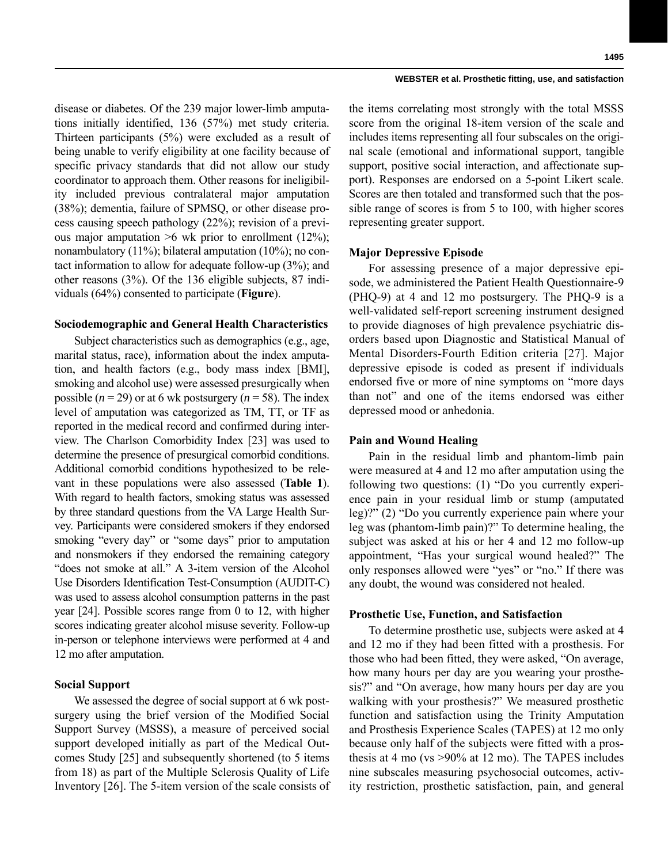disease or diabetes. Of the 239 major lower-limb amputations initially identified, 136 (57%) met study criteria. Thirteen participants (5%) were excluded as a result of being unable to verify eligibility at one facility because of specific privacy standards that did not allow our study coordinator to approach them. Other reasons for ineligibility included previous contralateral major amputation (38%); dementia, failure of SPMSQ, or other disease process causing speech pathology (22%); revision of a previous major amputation  $>6$  wk prior to enrollment (12%); nonambulatory (11%); bilateral amputation (10%); no contact information to allow for adequate follow-up (3%); and other reasons (3%). Of the 136 eligible subjects, 87 individuals (64%) consented to participate (**Figure**).

# **Sociodemographic and General Health Characteristics**

Subject characteristics such as demographics (e.g., age, marital status, race), information about the index amputation, and health factors (e.g., body mass index [BMI], smoking and alcohol use) were assessed presurgically when possible  $(n = 29)$  or at 6 wk postsurgery  $(n = 58)$ . The index level of amputation was categorized as TM, TT, or TF as reported in the medical record and confirmed during interview. The Charlson Comorbidity Index [23] was used to determine the presence of presurgical comorbid conditions. Additional comorbid conditions hypothesized to be relevant in these populations were also assessed (**Table 1**). With regard to health factors, smoking status was assessed by three standard questions from the VA Large Health Survey. Participants were considered smokers if they endorsed smoking "every day" or "some days" prior to amputation and nonsmokers if they endorsed the remaining category "does not smoke at all." A 3-item version of the Alcohol Use Disorders Identification Test-Consumption (AUDIT-C) was used to assess alcohol consumption patterns in the past year [24]. Possible scores range from 0 to 12, with higher scores indicating greater alcohol misuse severity. Follow-up in-person or telephone interviews were performed at 4 and 12 mo after amputation.

# **Social Support**

We assessed the degree of social support at 6 wk postsurgery using the brief version of the Modified Social Support Survey (MSSS), a measure of perceived social support developed initially as part of the Medical Outcomes Study [25] and subsequently shortened (to 5 items from 18) as part of the Multiple Sclerosis Quality of Life Inventory [26]. The 5-item version of the scale consists of

the items correlating most strongly with the total MSSS score from the original 18-item version of the scale and includes items representing all four subscales on the original scale (emotional and informational support, tangible support, positive social interaction, and affectionate support). Responses are endorsed on a 5-point Likert scale. Scores are then totaled and transformed such that the possible range of scores is from 5 to 100, with higher scores representing greater support.

# **Major Depressive Episode**

For assessing presence of a major depressive episode, we administered the Patient Health Questionnaire-9 (PHQ-9) at 4 and 12 mo postsurgery. The PHQ-9 is a well-validated self-report screening instrument designed to provide diagnoses of high prevalence psychiatric disorders based upon Diagnostic and Statistical Manual of Mental Disorders-Fourth Edition criteria [27]. Major depressive episode is coded as present if individuals endorsed five or more of nine symptoms on "more days than not" and one of the items endorsed was either depressed mood or anhedonia.

# **Pain and Wound Healing**

Pain in the residual limb and phantom-limb pain were measured at 4 and 12 mo after amputation using the following two questions: (1) "Do you currently experience pain in your residual limb or stump (amputated leg)?" (2) "Do you currently experience pain where your leg was (phantom-limb pain)?" To determine healing, the subject was asked at his or her 4 and 12 mo follow-up appointment, "Has your surgical wound healed?" The only responses allowed were "yes" or "no." If there was any doubt, the wound was considered not healed.

# **Prosthetic Use, Function, and Satisfaction**

To determine prosthetic use, subjects were asked at 4 and 12 mo if they had been fitted with a prosthesis. For those who had been fitted, they were asked, "On average, how many hours per day are you wearing your prosthesis?" and "On average, how many hours per day are you walking with your prosthesis?" We measured prosthetic function and satisfaction using the Trinity Amputation and Prosthesis Experience Scales (TAPES) at 12 mo only because only half of the subjects were fitted with a prosthesis at 4 mo (vs >90% at 12 mo). The TAPES includes nine subscales measuring psychosocial outcomes, activity restriction, prosthetic satisfaction, pain, and general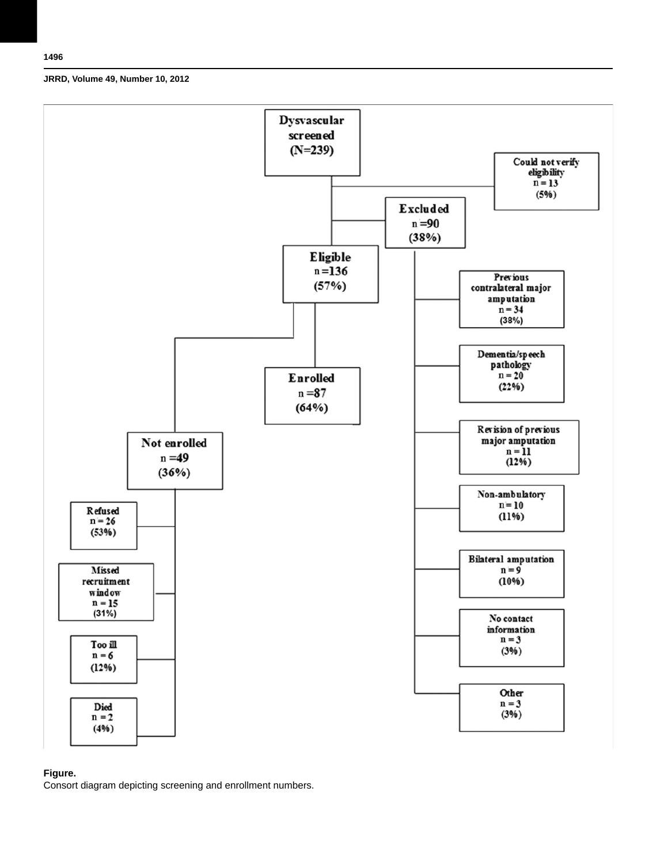

# **Figure.**

Consort diagram depicting screening and enrollment numbers.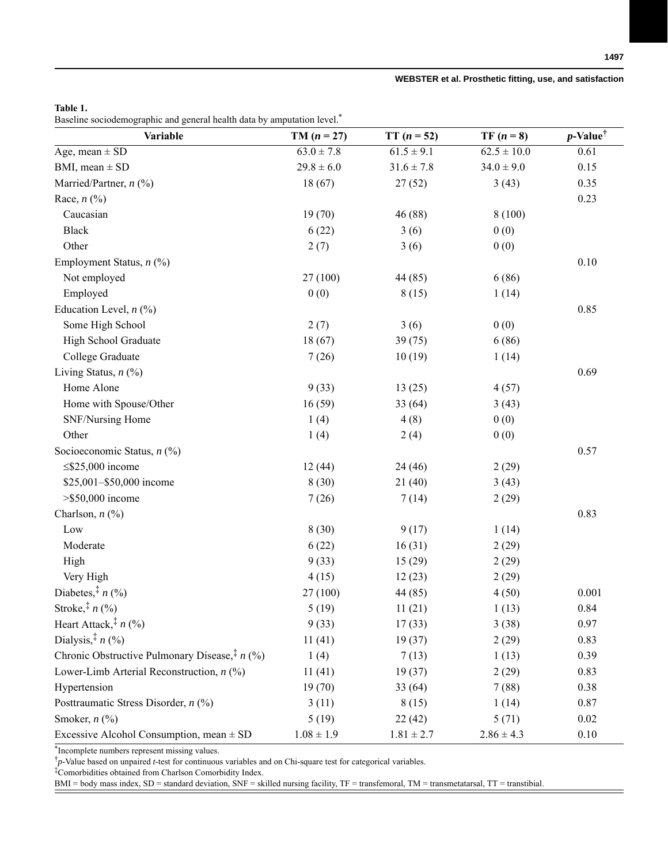# **Table 1.**

Baseline sociodemographic and general health data by amputation level.\*

| Variable                                                    | $TM (n = 27)$  | $TT (n = 52)$  | $TF(n=8)$       | $p$ -Value <sup>†</sup> |
|-------------------------------------------------------------|----------------|----------------|-----------------|-------------------------|
| Age, mean $\pm$ SD                                          | $63.0 \pm 7.8$ | $61.5 \pm 9.1$ | $62.5 \pm 10.0$ | 0.61                    |
| BMI, mean $\pm$ SD                                          | $29.8 \pm 6.0$ | $31.6 \pm 7.8$ | $34.0 \pm 9.0$  | 0.15                    |
| Married/Partner, $n$ (%)                                    | 18(67)         | 27(52)         | 3(43)           | 0.35                    |
| Race, $n$ $(\%)$                                            |                |                |                 | 0.23                    |
| Caucasian                                                   | 19(70)         | 46 (88)        | 8(100)          |                         |
| Black                                                       | 6(22)          | 3(6)           | 0(0)            |                         |
| Other                                                       | 2(7)           | 3(6)           | 0(0)            |                         |
| Employment Status, n (%)                                    |                |                |                 | $0.10\,$                |
| Not employed                                                | 27 (100)       | 44 (85)        | 6(86)           |                         |
| Employed                                                    | 0(0)           | 8(15)          | 1(14)           |                         |
| Education Level, $n$ (%)                                    |                |                |                 | 0.85                    |
| Some High School                                            | 2(7)           | 3(6)           | 0(0)            |                         |
| High School Graduate                                        | 18(67)         | 39(75)         | 6(86)           |                         |
| College Graduate                                            | 7(26)          | 10(19)         | 1(14)           |                         |
| Living Status, $n$ (%)                                      |                |                |                 | 0.69                    |
| Home Alone                                                  | 9(33)          | 13(25)         | 4(57)           |                         |
| Home with Spouse/Other                                      | 16(59)         | 33(64)         | 3(43)           |                         |
| SNF/Nursing Home                                            | 1(4)           | 4(8)           | 0(0)            |                         |
| Other                                                       | 1(4)           | 2(4)           | 0(0)            |                         |
| Socioeconomic Status, n (%)                                 |                |                |                 | 0.57                    |
| $\leq$ \$25,000 income                                      | 12(44)         | 24 (46)        | 2(29)           |                         |
| \$25,001-\$50,000 income                                    | 8(30)          | 21(40)         | 3(43)           |                         |
| $>$ \$50,000 income                                         | 7(26)          | 7(14)          | 2(29)           |                         |
| Charlson, $n$ (%)                                           |                |                |                 | 0.83                    |
| $_{\text{Low}}$                                             | 8(30)          | 9(17)          | 1(14)           |                         |
| Moderate                                                    | 6(22)          | 16(31)         | 2(29)           |                         |
| High                                                        | 9(33)          | 15(29)         | 2(29)           |                         |
| Very High                                                   | 4(15)          | 12(23)         | 2(29)           |                         |
| Diabetes, <sup>‡</sup> $n$ (%)                              | 27 (100)       | 44 (85)        | 4(50)           | 0.001                   |
| Stroke, $*$ $n$ (%)                                         | 5(19)          | 11(21)         | 1(13)           | 0.84                    |
| Heart Attack, $\frac{1}{r}$ n (%)                           | 9(33)          | 17(33)         | 3(38)           | 0.97                    |
| Dialysis, $\frac{1}{r}$ n (%)                               | 11(41)         | 19(37)         | 2(29)           | 0.83                    |
| Chronic Obstructive Pulmonary Disease, <sup>‡</sup> $n$ (%) | 1(4)           | 7(13)          | 1(13)           | 0.39                    |
| Lower-Limb Arterial Reconstruction, $n$ (%)                 | 11(41)         | 19(37)         | 2(29)           | 0.83                    |
| Hypertension                                                | 19(70)         | 33 (64)        | 7(88)           | 0.38                    |
| Posttraumatic Stress Disorder, n (%)                        | 3(11)          | 8(15)          | 1(14)           | 0.87                    |
| Smoker, $n$ $(\%)$                                          | 5(19)          | 22(42)         | 5(71)           | 0.02                    |
| Excessive Alcohol Consumption, mean $\pm$ SD                | $1.08 \pm 1.9$ | $1.81 \pm 2.7$ | $2.86 \pm 4.3$  | 0.10                    |

\*Incomplete numbers represent missing values.

† *p*-Value based on unpaired *t*-test for continuous variables and on Chi-square test for categorical variables.

‡ Comorbidities obtained from Charlson Comorbidity Index.

BMI = body mass index, SD = standard deviation, SNF = skilled nursing facility, TF = transfemoral, TM = transmetatarsal, TT = transtibial.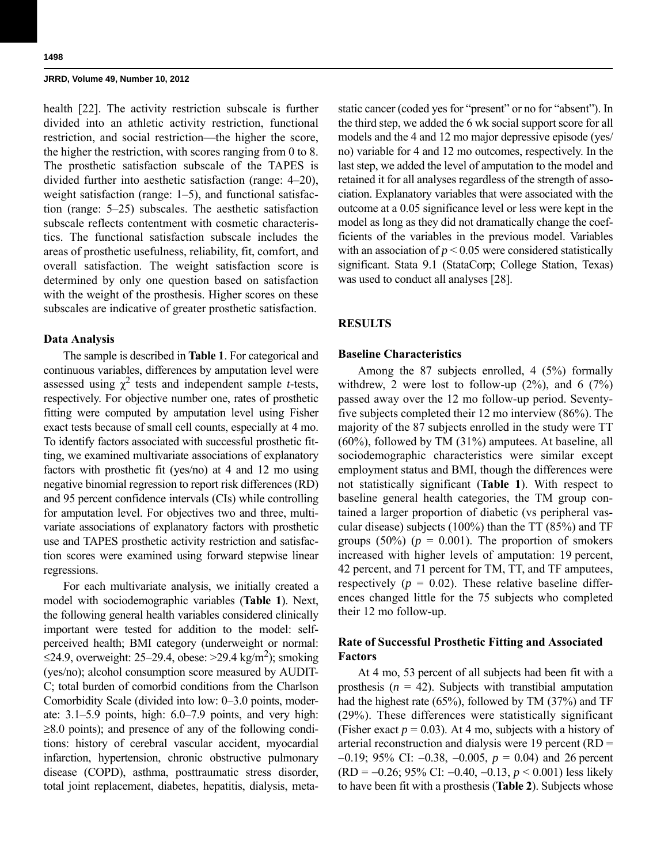health [22]. The activity restriction subscale is further divided into an athletic activity restriction, functional restriction, and social restriction—the higher the score, the higher the restriction, with scores ranging from 0 to 8. The prosthetic satisfaction subscale of the TAPES is divided further into aesthetic satisfaction (range: 4–20), weight satisfaction (range: 1–5), and functional satisfaction (range: 5–25) subscales. The aesthetic satisfaction subscale reflects contentment with cosmetic characteristics. The functional satisfaction subscale includes the areas of prosthetic usefulness, reliability, fit, comfort, and overall satisfaction. The weight satisfaction score is determined by only one question based on satisfaction with the weight of the prosthesis. Higher scores on these subscales are indicative of greater prosthetic satisfaction.

#### **Data Analysis**

The sample is described in **Table 1**. For categorical and continuous variables, differences by amputation level were assessed using  $\chi^2$  tests and independent sample *t*-tests, respectively. For objective number one, rates of prosthetic fitting were computed by amputation level using Fisher exact tests because of small cell counts, especially at 4 mo. To identify factors associated with successful prosthetic fitting, we examined multivariate associations of explanatory factors with prosthetic fit (yes/no) at 4 and 12 mo using negative binomial regression to report risk differences (RD) and 95 percent confidence intervals (CIs) while controlling for amputation level. For objectives two and three, multivariate associations of explanatory factors with prosthetic use and TAPES prosthetic activity restriction and satisfaction scores were examined using forward stepwise linear regressions.

For each multivariate analysis, we initially created a model with sociodemographic variables (**Table 1**). Next, the following general health variables considered clinically important were tested for addition to the model: selfperceived health; BMI category (underweight or normal:  $\leq$ 24.9, overweight: 25–29.4, obese: >29.4 kg/m<sup>2</sup>); smoking (yes/no); alcohol consumption score measured by AUDIT-C; total burden of comorbid conditions from the Charlson Comorbidity Scale (divided into low: 0–3.0 points, moderate: 3.1–5.9 points, high: 6.0–7.9 points, and very high:  $\geq$ 8.0 points); and presence of any of the following conditions: history of cerebral vascular accident, myocardial infarction, hypertension, chronic obstructive pulmonary disease (COPD), asthma, posttraumatic stress disorder, total joint replacement, diabetes, hepatitis, dialysis, metastatic cancer (coded yes for "present" or no for "absent"). In the third step, we added the 6 wk social support score for all models and the 4 and 12 mo major depressive episode (yes/ no) variable for 4 and 12 mo outcomes, respectively. In the last step, we added the level of amputation to the model and retained it for all analyses regardless of the strength of association. Explanatory variables that were associated with the outcome at a 0.05 significance level or less were kept in the model as long as they did not dramatically change the coefficients of the variables in the previous model. Variables with an association of  $p < 0.05$  were considered statistically significant. Stata 9.1 (StataCorp; College Station, Texas) was used to conduct all analyses [28].

# **RESULTS**

#### **Baseline Characteristics**

Among the 87 subjects enrolled, 4 (5%) formally withdrew, 2 were lost to follow-up  $(2\%)$ , and 6  $(7\%)$ passed away over the 12 mo follow-up period. Seventyfive subjects completed their 12 mo interview (86%). The majority of the 87 subjects enrolled in the study were TT (60%), followed by TM (31%) amputees. At baseline, all sociodemographic characteristics were similar except employment status and BMI, though the differences were not statistically significant (**Table 1**). With respect to baseline general health categories, the TM group contained a larger proportion of diabetic (vs peripheral vascular disease) subjects (100%) than the TT (85%) and TF groups  $(50\%)$  ( $p = 0.001$ ). The proportion of smokers increased with higher levels of amputation: 19 percent, 42 percent, and 71 percent for TM, TT, and TF amputees, respectively  $(p = 0.02)$ . These relative baseline differences changed little for the 75 subjects who completed their 12 mo follow-up.

# **Rate of Successful Prosthetic Fitting and Associated Factors**

At 4 mo, 53 percent of all subjects had been fit with a prosthesis  $(n = 42)$ . Subjects with transtibial amputation had the highest rate (65%), followed by TM (37%) and TF (29%). These differences were statistically significant (Fisher exact  $p = 0.03$ ). At 4 mo, subjects with a history of arterial reconstruction and dialysis were 19 percent (RD =  $-0.19$ ; 95% CI:  $-0.38$ ,  $-0.005$ ,  $p = 0.04$ ) and 26 percent  $(RD = -0.26; 95\% \text{ CI: } -0.40, -0.13, p < 0.001)$  less likely to have been fit with a prosthesis (**Table 2**). Subjects whose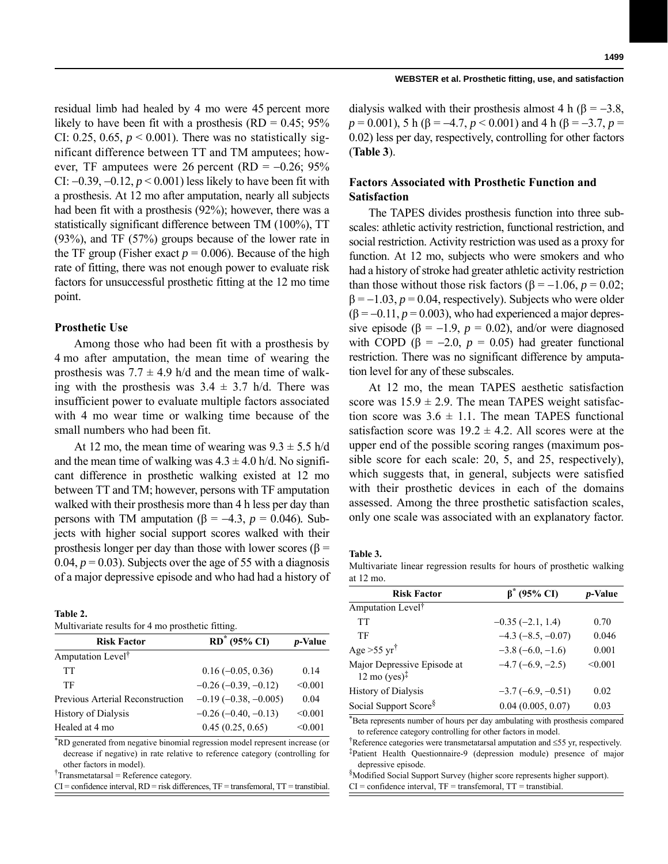residual limb had healed by 4 mo were 45 percent more likely to have been fit with a prosthesis  $(RD = 0.45; 95\%$ CI: 0.25, 0.65,  $p < 0.001$ ). There was no statistically significant difference between TT and TM amputees; however, TF amputees were 26 percent (RD =  $-0.26$ ; 95% CI:  $-0.39, -0.12, p < 0.001$ ) less likely to have been fit with a prosthesis. At 12 mo after amputation, nearly all subjects had been fit with a prosthesis (92%); however, there was a statistically significant difference between TM (100%), TT (93%), and TF (57%) groups because of the lower rate in the TF group (Fisher exact  $p = 0.006$ ). Because of the high rate of fitting, there was not enough power to evaluate risk factors for unsuccessful prosthetic fitting at the 12 mo time point.

#### **Prosthetic Use**

Among those who had been fit with a prosthesis by 4 mo after amputation, the mean time of wearing the prosthesis was  $7.7 \pm 4.9$  h/d and the mean time of walking with the prosthesis was  $3.4 \pm 3.7$  h/d. There was insufficient power to evaluate multiple factors associated with 4 mo wear time or walking time because of the small numbers who had been fit.

At 12 mo, the mean time of wearing was  $9.3 \pm 5.5$  h/d and the mean time of walking was  $4.3 \pm 4.0$  h/d. No significant difference in prosthetic walking existed at 12 mo between TT and TM; however, persons with TF amputation walked with their prosthesis more than 4 h less per day than persons with TM amputation (β =  $-4.3$ , *p* = 0.046). Subjects with higher social support scores walked with their prosthesis longer per day than those with lower scores ( $\beta$  = 0.04,  $p = 0.03$ ). Subjects over the age of 55 with a diagnosis of a major depressive episode and who had had a history of

| Table 2.                                          |  |  |
|---------------------------------------------------|--|--|
| Multivariate results for 4 mo prosthetic fitting. |  |  |

| $\ldots$                         |                               |                 |  |  |
|----------------------------------|-------------------------------|-----------------|--|--|
| <b>Risk Factor</b>               | $RD^*$ (95% CI)               | <i>p</i> -Value |  |  |
| Amputation Level <sup>†</sup>    |                               |                 |  |  |
| TT                               | $0.16(-0.05, 0.36)$           | 0.14            |  |  |
| TF                               | $-0.26$ ( $-0.39$ , $-0.12$ ) | < 0.001         |  |  |
| Previous Arterial Reconstruction | $-0.19(-0.38, -0.005)$        | 0.04            |  |  |
| <b>History of Dialysis</b>       | $-0.26(-0.40,-0.13)$          | < 0.001         |  |  |
| Healed at 4 mo                   | 0.45(0.25, 0.65)              | < 0.001         |  |  |

\*RD generated from negative binomial regression model represent increase (or decrease if negative) in rate relative to reference category (controlling for other factors in model).

† Transmetatarsal = Reference category.

 $CI =$  confidence interval,  $RD =$  risk differences,  $TF =$  transfemoral,  $TT =$  transtibial.

#### **WEBSTER et al. Prosthetic fitting, use, and satisfaction**

dialysis walked with their prosthesis almost 4 h ( $\beta = -3.8$ ,  $p = 0.001$ ), 5 h ( $\beta = -4.7$ ,  $p < 0.001$ ) and 4 h ( $\beta = -3.7$ ,  $p =$ 0.02) less per day, respectively, controlling for other factors (**Table 3**).

# **Factors Associated with Prosthetic Function and Satisfaction**

The TAPES divides prosthesis function into three subscales: athletic activity restriction, functional restriction, and social restriction. Activity restriction was used as a proxy for function. At 12 mo, subjects who were smokers and who had a history of stroke had greater athletic activity restriction than those without those risk factors  $(\beta = -1.06, p = 0.02)$ ;  $\beta = -1.03$ ,  $p = 0.04$ , respectively). Subjects who were older  $(\beta = -0.11, p = 0.003)$ , who had experienced a major depressive episode ( $\beta$  = -1.9,  $p$  = 0.02), and/or were diagnosed with COPD ( $\beta$  = -2.0,  $p$  = 0.05) had greater functional restriction. There was no significant difference by amputation level for any of these subscales.

At 12 mo, the mean TAPES aesthetic satisfaction score was  $15.9 \pm 2.9$ . The mean TAPES weight satisfaction score was  $3.6 \pm 1.1$ . The mean TAPES functional satisfaction score was  $19.2 \pm 4.2$ . All scores were at the upper end of the possible scoring ranges (maximum possible score for each scale: 20, 5, and 25, respectively), which suggests that, in general, subjects were satisfied with their prosthetic devices in each of the domains assessed. Among the three prosthetic satisfaction scales, only one scale was associated with an explanatory factor.

**Table 3.**

Multivariate linear regression results for hours of prosthetic walking at 12 mo.

| <b>Risk Factor</b>                                              | $\beta^*$ (95% CI)       | <i>p</i> -Value |  |
|-----------------------------------------------------------------|--------------------------|-----------------|--|
| Amputation Level <sup>†</sup>                                   |                          |                 |  |
| TT                                                              | $-0.35(-2.1, 1.4)$       | 0.70            |  |
| TF                                                              | $-4.3$ ( $-8.5, -0.07$ ) | 0.046           |  |
| Age $>55$ yr <sup>†</sup>                                       | $-3.8(-6.0, -1.6)$       | 0.001           |  |
| Major Depressive Episode at<br>$12 \text{ mo} (yes)^{\ddagger}$ | $-4.7(-6.9, -2.5)$       | < 0.001         |  |
| <b>History of Dialysis</b>                                      | $-3.7(-6.9, -0.51)$      | 0.02            |  |
| Social Support Score <sup>§</sup>                               | 0.04(0.005, 0.07)        | 0.03            |  |

\*Beta represents number of hours per day ambulating with prosthesis compared to reference category controlling for other factors in model.

† Reference categories were transmetatarsal amputation and 55 yr, respectively. ‡Patient Health Questionnaire-9 (depression module) presence of major depressive episode.

§Modified Social Support Survey (higher score represents higher support).  $CI =$  confidence interval,  $TF =$  transfemoral,  $TT =$  transtibial.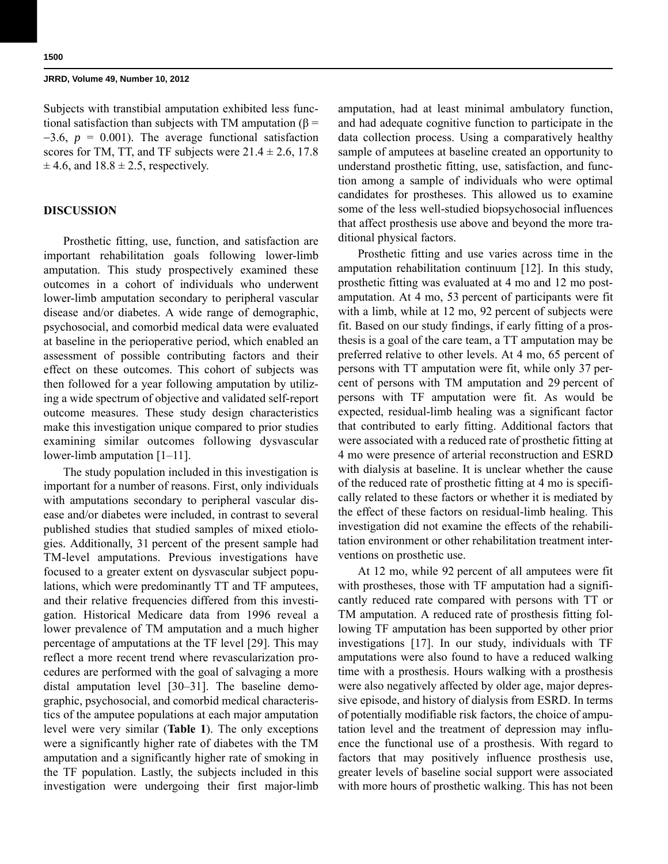Subjects with transtibial amputation exhibited less functional satisfaction than subjects with TM amputation (β =  $-3.6$ ,  $p = 0.001$ ). The average functional satisfaction scores for TM, TT, and TF subjects were  $21.4 \pm 2.6$ , 17.8  $\pm$  4.6, and 18.8  $\pm$  2.5, respectively.

# **DISCUSSION**

Prosthetic fitting, use, function, and satisfaction are important rehabilitation goals following lower-limb amputation. This study prospectively examined these outcomes in a cohort of individuals who underwent lower-limb amputation secondary to peripheral vascular disease and/or diabetes. A wide range of demographic, psychosocial, and comorbid medical data were evaluated at baseline in the perioperative period, which enabled an assessment of possible contributing factors and their effect on these outcomes. This cohort of subjects was then followed for a year following amputation by utilizing a wide spectrum of objective and validated self-report outcome measures. These study design characteristics make this investigation unique compared to prior studies examining similar outcomes following dysvascular lower-limb amputation [1–11].

The study population included in this investigation is important for a number of reasons. First, only individuals with amputations secondary to peripheral vascular disease and/or diabetes were included, in contrast to several published studies that studied samples of mixed etiologies. Additionally, 31 percent of the present sample had TM-level amputations. Previous investigations have focused to a greater extent on dysvascular subject populations, which were predominantly TT and TF amputees, and their relative frequencies differed from this investigation. Historical Medicare data from 1996 reveal a lower prevalence of TM amputation and a much higher percentage of amputations at the TF level [29]. This may reflect a more recent trend where revascularization procedures are performed with the goal of salvaging a more distal amputation level [30–31]. The baseline demographic, psychosocial, and comorbid medical characteristics of the amputee populations at each major amputation level were very similar (**Table 1**). The only exceptions were a significantly higher rate of diabetes with the TM amputation and a significantly higher rate of smoking in the TF population. Lastly, the subjects included in this investigation were undergoing their first major-limb amputation, had at least minimal ambulatory function, and had adequate cognitive function to participate in the data collection process. Using a comparatively healthy sample of amputees at baseline created an opportunity to understand prosthetic fitting, use, satisfaction, and function among a sample of individuals who were optimal candidates for prostheses. This allowed us to examine some of the less well-studied biopsychosocial influences that affect prosthesis use above and beyond the more traditional physical factors.

Prosthetic fitting and use varies across time in the amputation rehabilitation continuum [12]. In this study, prosthetic fitting was evaluated at 4 mo and 12 mo postamputation. At 4 mo, 53 percent of participants were fit with a limb, while at 12 mo, 92 percent of subjects were fit. Based on our study findings, if early fitting of a prosthesis is a goal of the care team, a TT amputation may be preferred relative to other levels. At 4 mo, 65 percent of persons with TT amputation were fit, while only 37 percent of persons with TM amputation and 29 percent of persons with TF amputation were fit. As would be expected, residual-limb healing was a significant factor that contributed to early fitting. Additional factors that were associated with a reduced rate of prosthetic fitting at 4 mo were presence of arterial reconstruction and ESRD with dialysis at baseline. It is unclear whether the cause of the reduced rate of prosthetic fitting at 4 mo is specifically related to these factors or whether it is mediated by the effect of these factors on residual-limb healing. This investigation did not examine the effects of the rehabilitation environment or other rehabilitation treatment interventions on prosthetic use.

At 12 mo, while 92 percent of all amputees were fit with prostheses, those with TF amputation had a significantly reduced rate compared with persons with TT or TM amputation. A reduced rate of prosthesis fitting following TF amputation has been supported by other prior investigations [17]. In our study, individuals with TF amputations were also found to have a reduced walking time with a prosthesis. Hours walking with a prosthesis were also negatively affected by older age, major depressive episode, and history of dialysis from ESRD. In terms of potentially modifiable risk factors, the choice of amputation level and the treatment of depression may influence the functional use of a prosthesis. With regard to factors that may positively influence prosthesis use, greater levels of baseline social support were associated with more hours of prosthetic walking. This has not been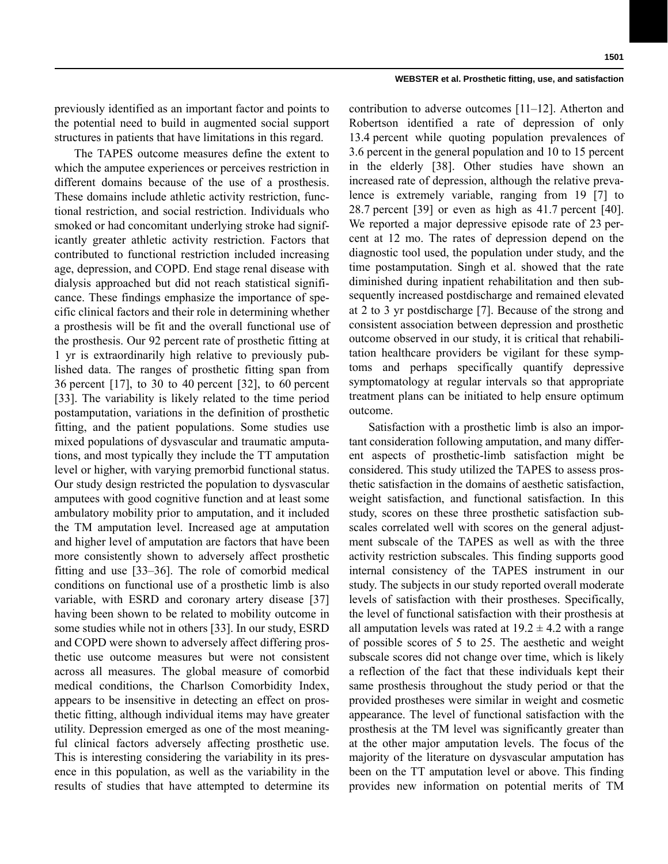previously identified as an important factor and points to the potential need to build in augmented social support structures in patients that have limitations in this regard.

The TAPES outcome measures define the extent to which the amputee experiences or perceives restriction in different domains because of the use of a prosthesis. These domains include athletic activity restriction, functional restriction, and social restriction. Individuals who smoked or had concomitant underlying stroke had significantly greater athletic activity restriction. Factors that contributed to functional restriction included increasing age, depression, and COPD. End stage renal disease with dialysis approached but did not reach statistical significance. These findings emphasize the importance of specific clinical factors and their role in determining whether a prosthesis will be fit and the overall functional use of the prosthesis. Our 92 percent rate of prosthetic fitting at 1 yr is extraordinarily high relative to previously published data. The ranges of prosthetic fitting span from 36 percent [17], to 30 to 40 percent [32], to 60 percent [33]. The variability is likely related to the time period postamputation, variations in the definition of prosthetic fitting, and the patient populations. Some studies use mixed populations of dysvascular and traumatic amputations, and most typically they include the TT amputation level or higher, with varying premorbid functional status. Our study design restricted the population to dysvascular amputees with good cognitive function and at least some ambulatory mobility prior to amputation, and it included the TM amputation level. Increased age at amputation and higher level of amputation are factors that have been more consistently shown to adversely affect prosthetic fitting and use [33–36]. The role of comorbid medical conditions on functional use of a prosthetic limb is also variable, with ESRD and coronary artery disease [37] having been shown to be related to mobility outcome in some studies while not in others [33]. In our study, ESRD and COPD were shown to adversely affect differing prosthetic use outcome measures but were not consistent across all measures. The global measure of comorbid medical conditions, the Charlson Comorbidity Index, appears to be insensitive in detecting an effect on prosthetic fitting, although individual items may have greater utility. Depression emerged as one of the most meaningful clinical factors adversely affecting prosthetic use. This is interesting considering the variability in its presence in this population, as well as the variability in the results of studies that have attempted to determine its

contribution to adverse outcomes [11–12]. Atherton and Robertson identified a rate of depression of only 13.4 percent while quoting population prevalences of 3.6 percent in the general population and 10 to 15 percent in the elderly [38]. Other studies have shown an increased rate of depression, although the relative prevalence is extremely variable, ranging from 19 [7] to 28.7 percent [39] or even as high as 41.7 percent [40]. We reported a major depressive episode rate of 23 percent at 12 mo. The rates of depression depend on the diagnostic tool used, the population under study, and the time postamputation. Singh et al. showed that the rate diminished during inpatient rehabilitation and then subsequently increased postdischarge and remained elevated at 2 to 3 yr postdischarge [7]. Because of the strong and consistent association between depression and prosthetic outcome observed in our study, it is critical that rehabilitation healthcare providers be vigilant for these symptoms and perhaps specifically quantify depressive symptomatology at regular intervals so that appropriate treatment plans can be initiated to help ensure optimum outcome.

Satisfaction with a prosthetic limb is also an important consideration following amputation, and many different aspects of prosthetic-limb satisfaction might be considered. This study utilized the TAPES to assess prosthetic satisfaction in the domains of aesthetic satisfaction, weight satisfaction, and functional satisfaction. In this study, scores on these three prosthetic satisfaction subscales correlated well with scores on the general adjustment subscale of the TAPES as well as with the three activity restriction subscales. This finding supports good internal consistency of the TAPES instrument in our study. The subjects in our study reported overall moderate levels of satisfaction with their prostheses. Specifically, the level of functional satisfaction with their prosthesis at all amputation levels was rated at  $19.2 \pm 4.2$  with a range of possible scores of 5 to 25. The aesthetic and weight subscale scores did not change over time, which is likely a reflection of the fact that these individuals kept their same prosthesis throughout the study period or that the provided prostheses were similar in weight and cosmetic appearance. The level of functional satisfaction with the prosthesis at the TM level was significantly greater than at the other major amputation levels. The focus of the majority of the literature on dysvascular amputation has been on the TT amputation level or above. This finding provides new information on potential merits of TM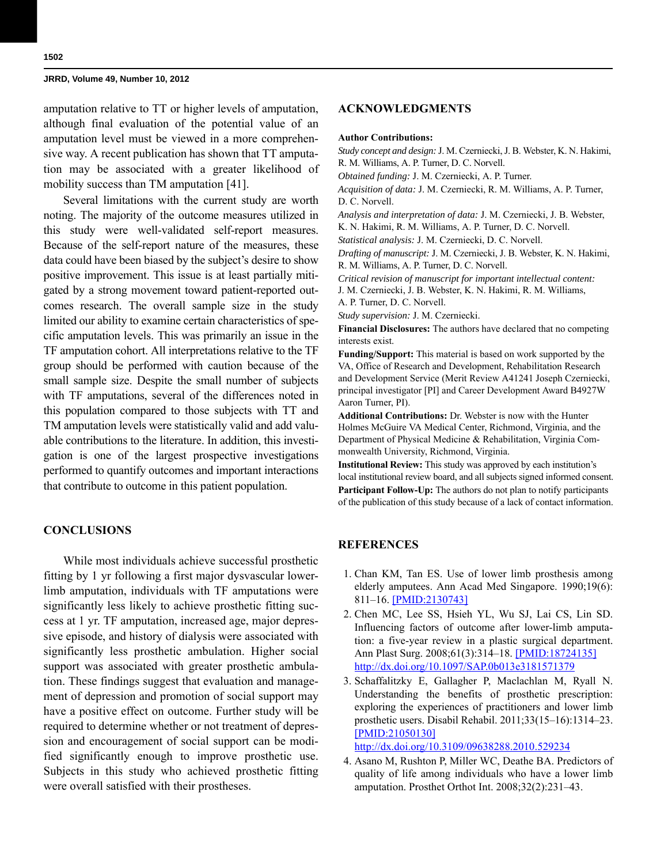amputation relative to TT or higher levels of amputation, although final evaluation of the potential value of an amputation level must be viewed in a more comprehensive way. A recent publication has shown that TT amputation may be associated with a greater likelihood of mobility success than TM amputation [41].

Several limitations with the current study are worth noting. The majority of the outcome measures utilized in this study were well-validated self-report measures. Because of the self-report nature of the measures, these data could have been biased by the subject's desire to show positive improvement. This issue is at least partially mitigated by a strong movement toward patient-reported outcomes research. The overall sample size in the study limited our ability to examine certain characteristics of specific amputation levels. This was primarily an issue in the TF amputation cohort. All interpretations relative to the TF group should be performed with caution because of the small sample size. Despite the small number of subjects with TF amputations, several of the differences noted in this population compared to those subjects with TT and TM amputation levels were statistically valid and add valuable contributions to the literature. In addition, this investigation is one of the largest prospective investigations performed to quantify outcomes and important interactions that contribute to outcome in this patient population.

# **CONCLUSIONS**

While most individuals achieve successful prosthetic fitting by 1 yr following a first major dysvascular lowerlimb amputation, individuals with TF amputations were significantly less likely to achieve prosthetic fitting success at 1 yr. TF amputation, increased age, major depressive episode, and history of dialysis were associated with significantly less prosthetic ambulation. Higher social support was associated with greater prosthetic ambulation. These findings suggest that evaluation and management of depression and promotion of social support may have a positive effect on outcome. Further study will be required to determine whether or not treatment of depression and encouragement of social support can be modified significantly enough to improve prosthetic use. Subjects in this study who achieved prosthetic fitting were overall satisfied with their prostheses.

#### **ACKNOWLEDGMENTS**

#### **Author Contributions:**

*Study concept and design:* J. M. Czerniecki, J. B. Webster, K. N. Hakimi, R. M. Williams, A. P. Turner, D. C. Norvell. *Obtained funding:* J. M. Czerniecki, A. P. Turner.

*Acquisition of data:* J. M. Czerniecki, R. M. Williams, A. P. Turner, D. C. Norvell.

*Analysis and interpretation of data:* J. M. Czerniecki, J. B. Webster, K. N. Hakimi, R. M. Williams, A. P. Turner, D. C. Norvell.

*Statistical analysis:* J. M. Czerniecki, D. C. Norvell.

*Drafting of manuscript:* J. M. Czerniecki, J. B. Webster, K. N. Hakimi, R. M. Williams, A. P. Turner, D. C. Norvell.

*Critical revision of manuscript for important intellectual content:* J. M. Czerniecki, J. B. Webster, K. N. Hakimi, R. M. Williams, A. P. Turner, D. C. Norvell.

*Study supervision:* J. M. Czerniecki.

**Financial Disclosures:** The authors have declared that no competing interests exist.

**Funding/Support:** This material is based on work supported by the VA, Office of Research and Development, Rehabilitation Research and Development Service (Merit Review A41241 Joseph Czerniecki, principal investigator [PI] and Career Development Award B4927W Aaron Turner, PI).

**Additional Contributions:** Dr. Webster is now with the Hunter Holmes McGuire VA Medical Center, Richmond, Virginia, and the Department of Physical Medicine & Rehabilitation, Virginia Commonwealth University, Richmond, Virginia.

**Institutional Review:** This study was approved by each institution's local institutional review board, and all subjects signed informed consent. **Participant Follow-Up:** The authors do not plan to notify participants of the publication of this study because of a lack of contact information.

### **REFERENCES**

- 1. Chan KM, Tan ES. Use of lower limb prosthesis among elderly amputees. Ann Acad Med Singapore. 1990;19(6): 811–16. [\[PMID:2130743\]](http://www.ncbi.nlm.nih.gov/entrez/query.fcgi?cmd=Retrieve&db=PubMed&list_uids=2130743&dopt=Abstract)
- 2. Chen MC, Lee SS, Hsieh YL, Wu SJ, Lai CS, Lin SD. Influencing factors of outcome after lower-limb amputation: a five-year review in a plastic surgical department. Ann Plast Surg. 2008;61(3):314–18. [\[PMID:18724135\]](http://www.ncbi.nlm.nih.gov/entrez/query.fcgi?cmd=Retrieve&db=PubMed&list_uids=18724135&dopt=Abstract) [h](http://www.ncbi.nlm.nih.gov/entrez/query.fcgi?cmd=Retrieve&db=PubMed&list_uids=18724135&dopt=Abstract)[ttp://dx.doi.org/10.1097/SAP.0b013e3181571379](http://dx.doi.org/10.1097/SAP.0b013e3181571379)
- 3. Schaffalitzky E, Gallagher P, Maclachlan M, Ryall N. Understanding the benefits of prosthetic prescription: exploring the experiences of practitioners and lower limb prosthetic users. Disabil Rehabil. 2011;33(15–16):1314–23. [\[PMID:21050130\]](http://www.ncbi.nlm.nih.gov/entrez/query.fcgi?cmd=Retrieve&db=PubMed&list_uids=21050130&dopt=Abstract)

[h](http://www.ncbi.nlm.nih.gov/entrez/query.fcgi?cmd=Retrieve&db=PubMed&list_uids=21050130&dopt=Abstract)[ttp://dx.doi.org/10.3109/09638288.2010.529234](http://dx.doi.org/10.3109/09638288.2010.529234)

 4. Asano M, Rushton P, Miller WC, Deathe BA. Predictors of quality of life among individuals who have a lower limb amputation. Prosthet Orthot Int. 2008;32(2):231–43.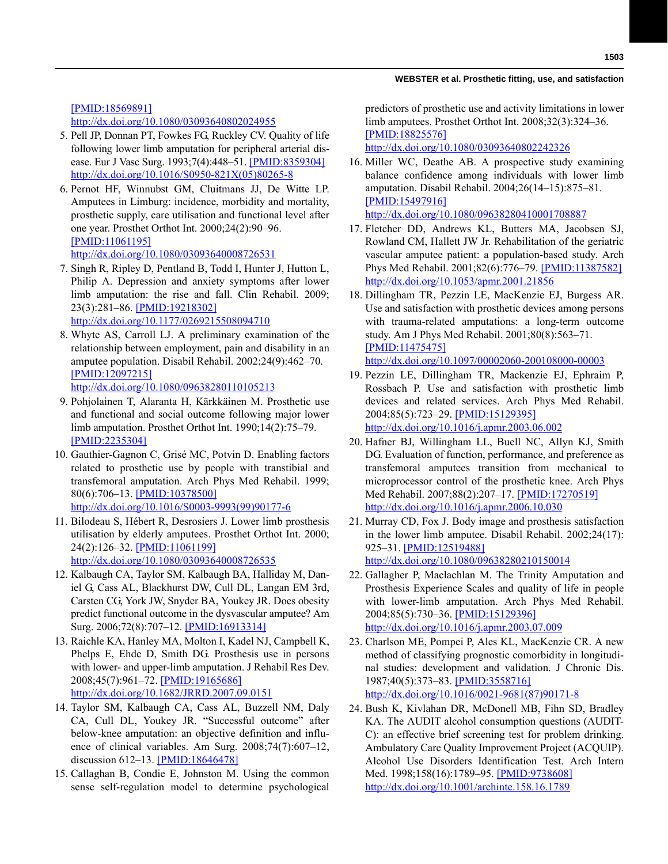[\[PMID:18569891\]](http://www.ncbi.nlm.nih.gov/entrez/query.fcgi?cmd=Retrieve&db=PubMed&list_uids=18569891&dopt=Abstract)

[h](http://www.ncbi.nlm.nih.gov/entrez/query.fcgi?cmd=Retrieve&db=PubMed&list_uids=18569891&dopt=Abstract)[ttp://dx.doi.org/10.1080/03093640802024955](http://dx.doi.org/10.1080/03093640802024955)

- 5. Pell JP, Donnan PT, Fowkes FG, Ruckley CV. Quality of life following lower limb amputation for peripheral arterial disease. Eur J Vasc Surg. 1993;7(4):448–51. [\[PMID:8359304\]](http://www.ncbi.nlm.nih.gov/entrez/query.fcgi?cmd=Retrieve&db=PubMed&list_uids=8359304&dopt=Abstract) [h](http://www.ncbi.nlm.nih.gov/entrez/query.fcgi?cmd=Retrieve&db=PubMed&list_uids=8359304&dopt=Abstract)[ttp://dx.doi.org/10.1016/S0950-821X\(05\)80265-8](http://dx.doi.org/10.1016/S0950-821X(05)80265-8)
- 6. Pernot HF, Winnubst GM, Cluitmans JJ, De Witte LP. Amputees in Limburg: incidence, morbidity and mortality, prosthetic supply, care utilisation and functional level after one year. Prosthet Orthot Int. 2000;24(2):90–96. [\[PMID:11061195\]](http://www.ncbi.nlm.nih.gov/entrez/query.fcgi?cmd=Retrieve&db=PubMed&list_uids=11061195&dopt=Abstract) [h](http://www.ncbi.nlm.nih.gov/entrez/query.fcgi?cmd=Retrieve&db=PubMed&list_uids=11061195&dopt=Abstract)[ttp://dx.doi.org/10.1080/03093640008726531](http://dx.doi.org/10.1080/03093640008726531)
- 7. Singh R, Ripley D, Pentland B, Todd I, Hunter J, Hutton L, Philip A. Depression and anxiety symptoms after lower limb amputation: the rise and fall. Clin Rehabil. 2009; 23(3):281–86. [\[PMID:19218302\]](http://www.ncbi.nlm.nih.gov/entrez/query.fcgi?cmd=Retrieve&db=PubMed&list_uids=19218302&dopt=Abstract) [h](http://www.ncbi.nlm.nih.gov/entrez/query.fcgi?cmd=Retrieve&db=PubMed&list_uids=19218302&dopt=Abstract)[ttp://dx.doi.org/10.1177/0269215508094710](http://dx.doi.org/10.1177/0269215508094710)
- 8. Whyte AS, Carroll LJ. A preliminary examination of the relationship between employment, pain and disability in an amputee population. Disabil Rehabil. 2002;24(9):462–70. [\[PMID:12097215\]](http://www.ncbi.nlm.nih.gov/entrez/query.fcgi?cmd=Retrieve&db=PubMed&list_uids=12097215&dopt=Abstract)

[h](http://www.ncbi.nlm.nih.gov/entrez/query.fcgi?cmd=Retrieve&db=PubMed&list_uids=12097215&dopt=Abstract)[ttp://dx.doi.org/10.1080/09638280110105213](http://dx.doi.org/10.1080/09638280110105213)

- 9. Pohjolainen T, Alaranta H, Kärkkäinen M. Prosthetic use and functional and social outcome following major lower limb amputation. Prosthet Orthot Int. 1990;14(2):75–79. [\[PMID:2235304\]](http://www.ncbi.nlm.nih.gov/entrez/query.fcgi?cmd=Retrieve&db=PubMed&list_uids=2235304&dopt=Abstract)
- 10. Gauthier-Gagnon C, Grisé MC, Potvin D. Enabling factors related to prosthetic use by people with transtibial and transfemoral amputation. Arch Phys Med Rehabil. 1999; 80(6):706–13. [\[PMID:10378500\]](http://www.ncbi.nlm.nih.gov/entrez/query.fcgi?cmd=Retrieve&db=PubMed&list_uids=10378500&dopt=Abstract) [h](http://www.ncbi.nlm.nih.gov/entrez/query.fcgi?cmd=Retrieve&db=PubMed&list_uids=10378500&dopt=Abstract)[ttp://dx.doi.org/10.1016/S0003-9993\(99\)90177-6](http://dx.doi.org/10.1016/S0003-9993(99)90177-6)
- 11. Bilodeau S, Hébert R, Desrosiers J. Lower limb prosthesis utilisation by elderly amputees. Prosthet Orthot Int. 2000; 24(2):126–32. [\[PMID:11061199\]](http://www.ncbi.nlm.nih.gov/entrez/query.fcgi?cmd=Retrieve&db=PubMed&list_uids=11061199&dopt=Abstract) [h](http://www.ncbi.nlm.nih.gov/entrez/query.fcgi?cmd=Retrieve&db=PubMed&list_uids=11061199&dopt=Abstract)[ttp://dx.doi.org/10.1080/03093640008726535](http://dx.doi.org/10.1080/03093640008726535)
- 12. Kalbaugh CA, Taylor SM, Kalbaugh BA, Halliday M, Daniel G, Cass AL, Blackhurst DW, Cull DL, Langan EM 3rd, Carsten CG, York JW, Snyder BA, Youkey JR. Does obesity predict functional outcome in the dysvascular amputee? Am Surg. 2006;72(8):707–12. [\[PMID:16913314\]](http://www.ncbi.nlm.nih.gov/pubmed/16913314)
- 13. Raichle KA, Hanley MA, Molton I, Kadel NJ, Campbell K, Phelps E, Ehde D, Smith DG. Prosthesis use in persons with lower- and upper-limb amputation. J Rehabil Res Dev. 2008;45(7):961–72. [\[PMID:19165686\]](http://www.ncbi.nlm.nih.gov/entrez/query.fcgi?cmd=Retrieve&db=PubMed&list_uids=19165686&dopt=Abstract) [h](http://www.ncbi.nlm.nih.gov/entrez/query.fcgi?cmd=Retrieve&db=PubMed&list_uids=19165686&dopt=Abstract)[ttp://dx.doi.org/10.1682/JRRD.2007.09.0151](http://dx.doi.org/10.1682/JRRD.2007.09.0151)
- 14. Taylor SM, Kalbaugh CA, Cass AL, Buzzell NM, Daly CA, Cull DL, Youkey JR. "Successful outcome" after below-knee amputation: an objective definition and influence of clinical variables. Am Surg. 2008;74(7):607–12, discussion 612–13. [\[PMID:18646478\]](http://www.ncbi.nlm.nih.gov/entrez/query.fcgi?cmd=Retrieve&db=PubMed&list_uids=18646478&dopt=Abstract)
- 15. Callaghan B, Condie E, Johnston M. Using the common sense self-regulation model to determine psychological

predictors of prosthetic use and activity limitations in lower limb amputees. Prosthet Orthot Int. 2008;32(3):324–36. [\[PMID:18825576\]](http://www.ncbi.nlm.nih.gov/entrez/query.fcgi?cmd=Retrieve&db=PubMed&list_uids=18825576&dopt=Abstract)

[h](http://www.ncbi.nlm.nih.gov/entrez/query.fcgi?cmd=Retrieve&db=PubMed&list_uids=18825576&dopt=Abstract)[ttp://dx.doi.org/10.1080/03093640802242326](http://dx.doi.org/10.1080/03093640802242326)

- 16. Miller WC, Deathe AB. A prospective study examining balance confidence among individuals with lower limb amputation. Disabil Rehabil. 2004;26(14–15):875–81. [\[PMID:15497916\]](http://www.ncbi.nlm.nih.gov/entrez/query.fcgi?cmd=Retrieve&db=PubMed&list_uids=15497916&dopt=Abstract) [h](http://www.ncbi.nlm.nih.gov/entrez/query.fcgi?cmd=Retrieve&db=PubMed&list_uids=15497916&dopt=Abstract)[ttp://dx.doi.org/10.1080/09638280410001708887](http://dx.doi.org/10.1080/09638280410001708887)
- 17. Fletcher DD, Andrews KL, Butters MA, Jacobsen SJ, Rowland CM, Hallett JW Jr. Rehabilitation of the geriatric vascular amputee patient: a population-based study. Arch Phys Med Rehabil. 2001;82(6):776–79. [\[PMID:11387582\]](http://www.ncbi.nlm.nih.gov/entrez/query.fcgi?cmd=Retrieve&db=PubMed&list_uids=11387582&dopt=Abstract) [h](http://www.ncbi.nlm.nih.gov/entrez/query.fcgi?cmd=Retrieve&db=PubMed&list_uids=11387582&dopt=Abstract)[ttp://dx.doi.org/10.1053/apmr.2001.21856](http://dx.doi.org/10.1053/apmr.2001.21856)
- 18. Dillingham TR, Pezzin LE, MacKenzie EJ, Burgess AR. Use and satisfaction with prosthetic devices among persons with trauma-related amputations: a long-term outcome study. Am J Phys Med Rehabil. 2001;80(8):563–71. [\[PMID:11475475\]](http://www.ncbi.nlm.nih.gov/entrez/query.fcgi?cmd=Retrieve&db=PubMed&list_uids=11475475&dopt=Abstract) [h](http://www.ncbi.nlm.nih.gov/entrez/query.fcgi?cmd=Retrieve&db=PubMed&list_uids=11475475&dopt=Abstract)[ttp://dx.doi.org/10.1097/00002060-200108000-00003](http://dx.doi.org/10.1097/00002060-200108000-00003)
- 19. Pezzin LE, Dillingham TR, Mackenzie EJ, Ephraim P, Rossbach P. Use and satisfaction with prosthetic limb devices and related services. Arch Phys Med Rehabil. 2004;85(5):723–29. [\[PMID:15129395\]](http://www.ncbi.nlm.nih.gov/entrez/query.fcgi?cmd=Retrieve&db=PubMed&list_uids=15129395&dopt=Abstract) [h](http://www.ncbi.nlm.nih.gov/entrez/query.fcgi?cmd=Retrieve&db=PubMed&list_uids=15129395&dopt=Abstract)[ttp://dx.doi.org/10.1016/j.apmr.2003.06.002](http://dx.doi.org/10.1016/j.apmr.2003.06.002)
- 20. Hafner BJ, Willingham LL, Buell NC, Allyn KJ, Smith DG. Evaluation of function, performance, and preference as transfemoral amputees transition from mechanical to microprocessor control of the prosthetic knee. Arch Phys Med Rehabil. 2007;88(2):207–17. [\[PMID:17270519\]](http://www.ncbi.nlm.nih.gov/entrez/query.fcgi?cmd=Retrieve&db=PubMed&list_uids=17270519&dopt=Abstract) [h](http://www.ncbi.nlm.nih.gov/entrez/query.fcgi?cmd=Retrieve&db=PubMed&list_uids=17270519&dopt=Abstract)[ttp://dx.doi.org/10.1016/j.apmr.2006.10.030](http://dx.doi.org/10.1016/j.apmr.2006.10.030)
- 21. Murray CD, Fox J. Body image and prosthesis satisfaction in the lower limb amputee. Disabil Rehabil. 2002;24(17): 925–31. [\[PMID:12519488\]](http://www.ncbi.nlm.nih.gov/entrez/query.fcgi?cmd=Retrieve&db=PubMed&list_uids=12519488&dopt=Abstract) [h](http://www.ncbi.nlm.nih.gov/entrez/query.fcgi?cmd=Retrieve&db=PubMed&list_uids=12519488&dopt=Abstract)[ttp://dx.doi.org/10.1080/09638280210150014](http://dx.doi.org/10.1080/09638280210150014)
- 22. Gallagher P, Maclachlan M. The Trinity Amputation and Prosthesis Experience Scales and quality of life in people with lower-limb amputation. Arch Phys Med Rehabil. 2004;85(5):730–36. [\[PMID:15129396\]](http://www.ncbi.nlm.nih.gov/entrez/query.fcgi?cmd=Retrieve&db=PubMed&list_uids=15129396&dopt=Abstract) [h](http://www.ncbi.nlm.nih.gov/entrez/query.fcgi?cmd=Retrieve&db=PubMed&list_uids=15129396&dopt=Abstract)[ttp://dx.doi.org/10.1016/j.apmr.2003.07.009](http://dx.doi.org/10.1016/j.apmr.2003.07.009)
- 23. Charlson ME, Pompei P, Ales KL, MacKenzie CR. A new method of classifying prognostic comorbidity in longitudinal studies: development and validation. J Chronic Dis. 1987;40(5):373–83. [\[PMID:3558716\]](http://www.ncbi.nlm.nih.gov/entrez/query.fcgi?cmd=Retrieve&db=PubMed&list_uids=3558716&dopt=Abstract) [h](http://www.ncbi.nlm.nih.gov/entrez/query.fcgi?cmd=Retrieve&db=PubMed&list_uids=3558716&dopt=Abstract)[ttp://dx.doi.org/10.1016/0021-9681\(87\)90171-8](http://dx.doi.org/10.1016/0021-9681(87)90171-8)
- 24. Bush K, Kivlahan DR, McDonell MB, Fihn SD, Bradley KA. The AUDIT alcohol consumption questions (AUDIT-C): an effective brief screening test for problem drinking. Ambulatory Care Quality Improvement Project (ACQUIP). Alcohol Use Disorders Identification Test. Arch Intern Med. 1998;158(16):1789-95. [\[PMID:9738608\]](http://www.ncbi.nlm.nih.gov/entrez/query.fcgi?cmd=Retrieve&db=PubMed&list_uids=9738608&dopt=Abstract) [h](http://www.ncbi.nlm.nih.gov/entrez/query.fcgi?cmd=Retrieve&db=PubMed&list_uids=9738608&dopt=Abstract)[ttp://dx.doi.org/10.1001/archinte.158.16.1789](http://dx.doi.org/10.1001/archinte.158.16.1789)